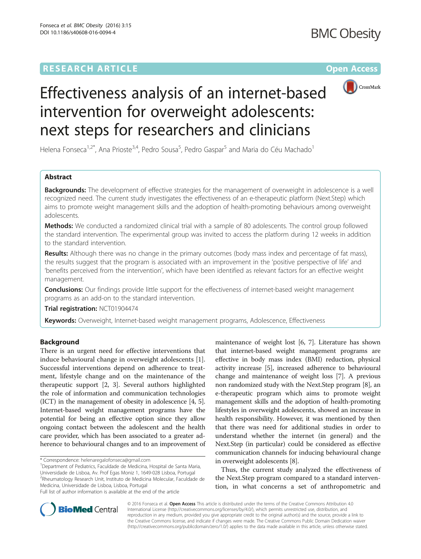# **RESEARCH ARTICLE External Structure Community Community Community Community Community Community Community Community**



# Effectiveness analysis of an internet-based intervention for overweight adolescents: next steps for researchers and clinicians

Helena Fonseca<sup>1,2\*</sup>, Ana Prioste<sup>3,4</sup>, Pedro Sousa<sup>5</sup>, Pedro Gaspar<sup>5</sup> and Maria do Céu Machado<sup>1</sup>

# Abstract

**Backgrounds:** The development of effective strategies for the management of overweight in adolescence is a well recognized need. The current study investigates the effectiveness of an e-therapeutic platform (Next.Step) which aims to promote weight management skills and the adoption of health-promoting behaviours among overweight adolescents.

Methods: We conducted a randomized clinical trial with a sample of 80 adolescents. The control group followed the standard intervention. The experimental group was invited to access the platform during 12 weeks in addition to the standard intervention.

Results: Although there was no change in the primary outcomes (body mass index and percentage of fat mass), the results suggest that the program is associated with an improvement in the 'positive perspective of life' and 'benefits perceived from the intervention', which have been identified as relevant factors for an effective weight management.

**Conclusions:** Our findings provide little support for the effectiveness of internet-based weight management programs as an add-on to the standard intervention.

Trial registration: [NCT01904474](https://clinicaltrials.gov/ct2/show/NCT01904474)

Keywords: Overweight, Internet-based weight management programs, Adolescence, Effectiveness

# Background

There is an urgent need for effective interventions that induce behavioural change in overweight adolescents [\[1](#page-5-0)]. Successful interventions depend on adherence to treatment, lifestyle change and on the maintenance of the therapeutic support [\[2](#page-5-0), [3](#page-5-0)]. Several authors highlighted the role of information and communication technologies (ICT) in the management of obesity in adolescence [[4](#page-5-0), [5](#page-5-0)]. Internet-based weight management programs have the potential for being an effective option since they allow ongoing contact between the adolescent and the health care provider, which has been associated to a greater adherence to behavioural changes and to an improvement of

\* Correspondence: [helenaregalofonseca@gmail.com](mailto:helenaregalofonseca@gmail.com) <sup>1</sup>

<sup>1</sup>Department of Pediatrics, Faculdade de Medicina, Hospital de Santa Maria, Universidade de Lisboa, Av. Prof Egas Moniz 1, 1649-028 Lisboa, Portugal 2 Rheumatology Research Unit, Instituto de Medicina Molecular, Faculdade de Medicina, Universidade de Lisboa, Lisboa, Portugal

Full list of author information is available at the end of the article

maintenance of weight lost [\[6](#page-5-0), [7](#page-5-0)]. Literature has shown that internet-based weight management programs are effective in body mass index (BMI) reduction, physical activity increase [[5\]](#page-5-0), increased adherence to behavioural change and maintenance of weight loss [[7](#page-5-0)]. A previous non randomized study with the Next.Step program [\[8\]](#page-5-0), an e-therapeutic program which aims to promote weight management skills and the adoption of health-promoting lifestyles in overweight adolescents, showed an increase in health responsibility. However, it was mentioned by then that there was need for additional studies in order to understand whether the internet (in general) and the Next.Step (in particular) could be considered as effective communication channels for inducing behavioural change in overweight adolescents [\[8\]](#page-5-0).

Thus, the current study analyzed the effectiveness of the Next.Step program compared to a standard intervention, in what concerns a set of anthropometric and



© 2016 Fonseca et al. Open Access This article is distributed under the terms of the Creative Commons Attribution 4.0 International License [\(http://creativecommons.org/licenses/by/4.0/](http://creativecommons.org/licenses/by/4.0/)), which permits unrestricted use, distribution, and reproduction in any medium, provided you give appropriate credit to the original author(s) and the source, provide a link to the Creative Commons license, and indicate if changes were made. The Creative Commons Public Domain Dedication waiver [\(http://creativecommons.org/publicdomain/zero/1.0/](http://creativecommons.org/publicdomain/zero/1.0/)) applies to the data made available in this article, unless otherwise stated.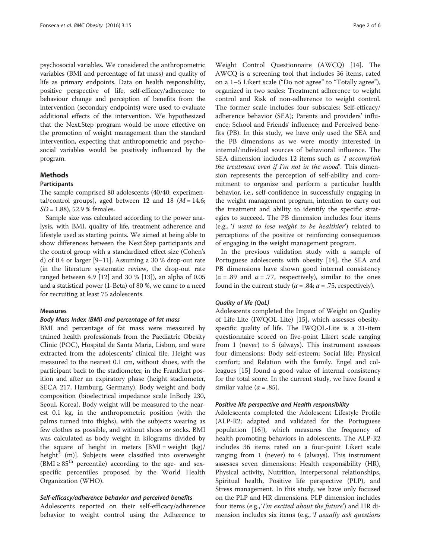psychosocial variables. We considered the anthropometric variables (BMI and percentage of fat mass) and quality of life as primary endpoints. Data on health responsibility, positive perspective of life, self-efficacy/adherence to behaviour change and perception of benefits from the intervention (secondary endpoints) were used to evaluate additional effects of the intervention. We hypothesized that the Next.Step program would be more effective on the promotion of weight management than the standard intervention, expecting that anthropometric and psychosocial variables would be positively influenced by the program.

# Methods

# Participants

The sample comprised 80 adolescents (40/40: experimental/control groups), aged between 12 and 18 ( $M = 14.6$ ; SD = 1.88), 52.9 % females.

Sample size was calculated according to the power analysis, with BMI, quality of life, treatment adherence and lifestyle used as starting points. We aimed at being able to show differences between the Next.Step participants and the control group with a standardized effect size (Cohen's d) of 0.4 or larger [[9](#page-5-0)–[11\]](#page-5-0). Assuming a 30 % drop-out rate (in the literature systematic review, the drop-out rate ranged between 4.9 [\[12](#page-5-0)] and 30 % [\[13\]](#page-5-0)), an alpha of 0.05 and a statistical power (1-Beta) of 80 %, we came to a need for recruiting at least 75 adolescents.

# Measures

# Body Mass Index (BMI) and percentage of fat mass

BMI and percentage of fat mass were measured by trained health professionals from the Paediatric Obesity Clinic (POC), Hospital de Santa Maria, Lisbon, and were extracted from the adolescents' clinical file. Height was measured to the nearest 0.1 cm, without shoes, with the participant back to the stadiometer, in the Frankfurt position and after an expiratory phase (height stadiometer, SECA 217, Hamburg, Germany). Body weight and body composition (bioelectrical impedance scale InBody 230, Seoul, Korea). Body weight will be measured to the nearest 0.1 kg, in the anthropometric position (with the palms turned into thighs), with the subjects wearing as few clothes as possible, and without shoes or socks. BMI was calculated as body weight in kilograms divided by the square of height in meters  $[BMI = weight (kg)/$ height<sup>2</sup> (m)]. Subjects were classified into overweight  $(BMI \geq 85^{th}$  percentile) according to the age- and sexspecific percentiles proposed by the World Health Organization (WHO).

# Self-efficacy/adherence behavior and perceived benefits

Adolescents reported on their self-efficacy/adherence behavior to weight control using the Adherence to

Weight Control Questionnaire (AWCQ) [[14\]](#page-5-0). The AWCQ is a screening tool that includes 36 items, rated on a 1–5 Likert scale ("Do not agree" to "Totally agree"), organized in two scales: Treatment adherence to weight control and Risk of non-adherence to weight control. The former scale includes four subscales: Self-efficacy/ adherence behavior (SEA); Parents and providers' influence; School and Friends' influence; and Perceived benefits (PB). In this study, we have only used the SEA and the PB dimensions as we were mostly interested in internal/individual sources of behavioral influence. The SEA dimension includes 12 items such as 'I accomplish the treatment even if I'm not in the mood'. This dimension represents the perception of self-ability and commitment to organize and perform a particular health behavior, i.e., self-confidence in successfully engaging in the weight management program, intention to carry out the treatment and ability to identify the specific strategies to succeed. The PB dimension includes four items (e.g., 'I want to lose weight to be healthier') related to perceptions of the positive or reinforcing consequences of engaging in the weight management program.

In the previous validation study with a sample of Portuguese adolescents with obesity [\[14](#page-5-0)], the SEA and PB dimensions have shown good internal consistency  $(\alpha = .89$  and  $\alpha = .77$ , respectively), similar to the ones found in the current study ( $\alpha = .84$ ;  $\alpha = .75$ , respectively).

# Quality of life (QoL)

Adolescents completed the Impact of Weight on Quality of Life-Lite (IWQOL-Lite) [\[15](#page-5-0)], which assesses obesityspecific quality of life. The IWQOL-Lite is a 31-item questionnaire scored on five-point Likert scale ranging from 1 (never) to 5 (always). This instrument assesses four dimensions: Body self-esteem; Social life; Physical comfort; and Relation with the family. Engel and colleagues [\[15](#page-5-0)] found a good value of internal consistency for the total score. In the current study, we have found a similar value ( $\alpha$  = .85).

# Positive life perspective and Health responsibility

Adolescents completed the Adolescent Lifestyle Profile (ALP-R2; adapted and validated for the Portuguese population [\[16](#page-5-0)]), which measures the frequency of health promoting behaviors in adolescents. The ALP-R2 includes 36 items rated on a four-point Likert scale ranging from 1 (never) to 4 (always). This instrument assesses seven dimensions: Health responsibility (HR), Physical activity, Nutrition, Interpersonal relationships, Spiritual health, Positive life perspective (PLP), and Stress management. In this study, we have only focused on the PLP and HR dimensions. PLP dimension includes four items (e.g., 'I'm excited about the future') and HR dimension includes six items (e.g., 'I usually ask questions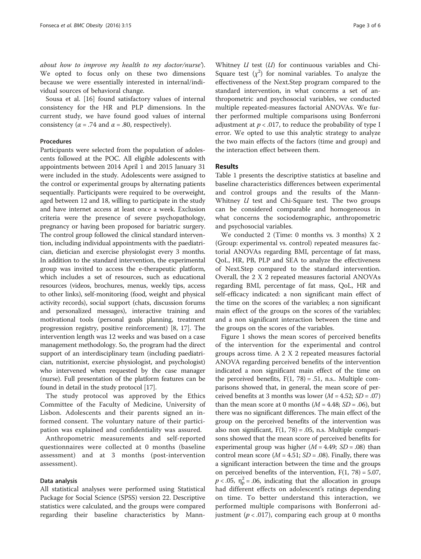about how to improve my health to my doctor/nurse'). We opted to focus only on these two dimensions because we were essentially interested in internal/individual sources of behavioral change.

Sousa et al. [\[16](#page-5-0)] found satisfactory values of internal consistency for the HR and PLP dimensions. In the current study, we have found good values of internal consistency ( $\alpha$  = .74 and  $\alpha$  = .80, respectively).

# Procedures

Participants were selected from the population of adolescents followed at the POC. All eligible adolescents with appointments between 2014 April 1 and 2015 January 31 were included in the study. Adolescents were assigned to the control or experimental groups by alternating patients sequentially. Participants were required to be overweight, aged between 12 and 18, willing to participate in the study and have internet access at least once a week. Exclusion criteria were the presence of severe psychopathology, pregnancy or having been proposed for bariatric surgery. The control group followed the clinical standard intervention, including individual appointments with the paediatrician, dietician and exercise physiologist every 3 months. In addition to the standard intervention, the experimental group was invited to access the e-therapeutic platform, which includes a set of resources, such as educational resources (videos, brochures, menus, weekly tips, access to other links), self-monitoring (food, weight and physical activity records), social support (chats, discussion forums and personalized messages), interactive training and motivational tools (personal goals planning, treatment progression registry, positive reinforcement) [[8](#page-5-0), [17](#page-5-0)]. The intervention length was 12 weeks and was based on a case management methodology. So, the program had the direct support of an interdisciplinary team (including paediatrician, nutritionist, exercise physiologist, and psychologist) who intervened when requested by the case manager (nurse). Full presentation of the platform features can be found in detail in the study protocol [[17](#page-5-0)].

The study protocol was approved by the Ethics Committee of the Faculty of Medicine, University of Lisbon. Adolescents and their parents signed an informed consent. The voluntary nature of their participation was explained and confidentiality was assured.

Anthropometric measurements and self-reported questionnaires were collected at 0 months (baseline assessment) and at 3 months (post-intervention assessment).

# Data analysis

All statistical analyses were performed using Statistical Package for Social Science (SPSS) version 22. Descriptive statistics were calculated, and the groups were compared regarding their baseline characteristics by Mann-

Whitney  $U$  test  $(U)$  for continuous variables and Chi-Square test  $(\chi^2)$  for nominal variables. To analyze the effectiveness of the Next.Step program compared to the standard intervention, in what concerns a set of anthropometric and psychosocial variables, we conducted multiple repeated-measures factorial ANOVAs. We further performed multiple comparisons using Bonferroni adjustment at  $p < .017$ , to reduce the probability of type I error. We opted to use this analytic strategy to analyze the two main effects of the factors (time and group) and the interaction effect between them.

# Results

Table [1](#page-3-0) presents the descriptive statistics at baseline and baseline characteristics differences between experimental and control groups and the results of the Mann-Whitney  $U$  test and Chi-Square test. The two groups can be considered comparable and homogeneous in what concerns the sociodemographic, anthropometric and psychosocial variables.

We conducted 2 (Time: 0 months vs. 3 months) X 2 (Group: experimental vs. control) repeated measures factorial ANOVAs regarding BMI, percentage of fat mass, QoL, HR, PB, PLP and SEA to analyze the effectiveness of Next.Step compared to the standard intervention. Overall, the 2 X 2 repeated measures factorial ANOVAs regarding BMI, percentage of fat mass, QoL, HR and self-efficacy indicated: a non significant main effect of the time on the scores of the variables; a non significant main effect of the groups on the scores of the variables; and a non significant interaction between the time and the groups on the scores of the variables.

Figure [1](#page-3-0) shows the mean scores of perceived benefits of the intervention for the experimental and control groups across time. A 2 X 2 repeated measures factorial ANOVA regarding perceived benefits of the intervention indicated a non significant main effect of the time on the perceived benefits,  $F(1, 78) = .51$ , n.s.. Multiple comparisons showed that, in general, the mean score of perceived benefits at 3 months was lower  $(M = 4.52; SD = .07)$ than the mean score at 0 months  $(M = 4.48; SD = .06)$ , but there was no significant differences. The main effect of the group on the perceived benefits of the intervention was also non significant,  $F(1, 78) = .05$ , n.s. Multiple comparisons showed that the mean score of perceived benefits for experimental group was higher  $(M = 4.49; SD = .08)$  than control mean score ( $M = 4.51$ ;  $SD = .08$ ). Finally, there was a significant interaction between the time and the groups on perceived benefits of the intervention,  $F(1, 78) = 5.07$ ,  $p < .05$ ,  $\eta_{\rm p}^2 = .06$ , indicating that the allocation in groups had different effects on adolescent's ratings depending on time. To better understand this interaction, we performed multiple comparisons with Bonferroni adjustment ( $p < .017$ ), comparing each group at 0 months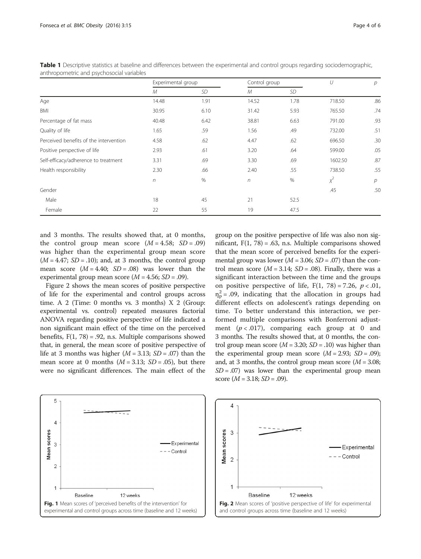|                                        | Experimental group |           | Control group |           | U       | $\mathcal{P}$  |
|----------------------------------------|--------------------|-----------|---------------|-----------|---------|----------------|
|                                        | M                  | <b>SD</b> | М             | <b>SD</b> |         |                |
| Age                                    | 14.48              | 1.91      | 14.52         | 1.78      | 718.50  | .86            |
| BMI                                    | 30.95              | 6.10      | 31.42         | 5.93      | 765.50  | .74            |
| Percentage of fat mass                 | 40.48              | 6.42      | 38.81         | 6.63      | 791.00  | .93            |
| Quality of life                        | 1.65               | .59       | 1.56          | .49       | 732.00  | .51            |
| Perceived benefits of the intervention | 4.58               | .62       | 4.47          | .62       | 696.50  | .30            |
| Positive perspective of life           | 2.93               | .61       | 3.20          | .64       | 599.00  | .05            |
| Self-efficacy/adherence to treatment   | 3.31               | .69       | 3.30          | .69       | 1602.50 | .87            |
| Health responsibility                  | 2.30               | .66       | 2.40          | .55       | 738.50  | .55            |
|                                        | n                  | %         | $\eta$        | $\%$      | $x^2$   | $\overline{p}$ |
| Gender                                 |                    |           |               |           | .45     | .50            |
| Male                                   | 18                 | 45        | 21            | 52.5      |         |                |
| Female                                 | 22                 | 55        | 19            | 47.5      |         |                |

<span id="page-3-0"></span>Table 1 Descriptive statistics at baseline and differences between the experimental and control groups regarding sociodemographic, anthropometric and psychosocial variables

and 3 months. The results showed that, at 0 months, the control group mean score  $(M = 4.58; SD = .09)$ was higher than the experimental group mean score  $(M = 4.47; SD = .10)$ ; and, at 3 months, the control group mean score  $(M = 4.40; SD = .08)$  was lower than the experimental group mean score ( $M = 4.56$ ;  $SD = .09$ ).

Figure 2 shows the mean scores of positive perspective of life for the experimental and control groups across time. A 2 (Time: 0 months vs. 3 months) X 2 (Group: experimental vs. control) repeated measures factorial ANOVA regarding positive perspective of life indicated a non significant main effect of the time on the perceived benefits,  $F(1, 78) = .92$ , n.s. Multiple comparisons showed that, in general, the mean score of positive perspective of life at 3 months was higher  $(M = 3.13; SD = .07)$  than the mean score at 0 months  $(M = 3.13; SD = .05)$ , but there were no significant differences. The main effect of the

group on the positive perspective of life was also non significant,  $F(1, 78) = .63$ , n.s. Multiple comparisons showed that the mean score of perceived benefits for the experimental group was lower ( $M = 3.06$ ;  $SD = .07$ ) than the control mean score  $(M = 3.14; SD = .08)$ . Finally, there was a significant interaction between the time and the groups on positive perspective of life,  $F(1, 78) = 7.26$ ,  $p < .01$ ,  $\eta_p^2$  = .09, indicating that the allocation in groups had different effects on adolescent's ratings depending on time. To better understand this interaction, we performed multiple comparisons with Bonferroni adjustment  $(p < .017)$ , comparing each group at 0 and 3 months. The results showed that, at 0 months, the control group mean score  $(M = 3.20; SD = .10)$  was higher than the experimental group mean score  $(M = 2.93; SD = .09)$ ; and, at 3 months, the control group mean score  $(M = 3.08;$  $SD = .07$ ) was lower than the experimental group mean score  $(M = 3.18; SD = .09)$ .



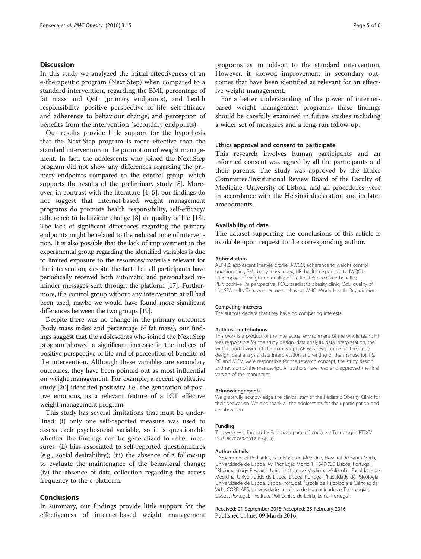# **Discussion**

In this study we analyzed the initial effectiveness of an e-therapeutic program (Next.Step) when compared to a standard intervention, regarding the BMI, percentage of fat mass and QoL (primary endpoints), and health responsibility, positive perspective of life, self-efficacy and adherence to behaviour change, and perception of benefits from the intervention (secondary endpoints).

Our results provide little support for the hypothesis that the Next.Step program is more effective than the standard intervention in the promotion of weight management. In fact, the adolescents who joined the Next.Step program did not show any differences regarding the primary endpoints compared to the control group, which supports the results of the preliminary study [[8\]](#page-5-0). Moreover, in contrast with the literature [[4, 5\]](#page-5-0), our findings do not suggest that internet-based weight management programs do promote health responsibility, self-efficacy/ adherence to behaviour change [\[8\]](#page-5-0) or quality of life [[18](#page-5-0)]. The lack of significant differences regarding the primary endpoints might be related to the reduced time of intervention. It is also possible that the lack of improvement in the experimental group regarding the identified variables is due to limited exposure to the resources/materials relevant for the intervention, despite the fact that all participants have periodically received both automatic and personalized reminder messages sent through the platform [[17](#page-5-0)]. Furthermore, if a control group without any intervention at all had been used, maybe we would have found more significant differences between the two groups [[19](#page-5-0)].

Despite there was no change in the primary outcomes (body mass index and percentage of fat mass), our findings suggest that the adolescents who joined the Next.Step program showed a significant increase in the indices of positive perspective of life and of perception of benefits of the intervention. Although these variables are secondary outcomes, they have been pointed out as most influential on weight management. For example, a recent qualitative study [\[20\]](#page-5-0) identified positivity, i.e., the generation of positive emotions, as a relevant feature of a ICT effective weight management program.

This study has several limitations that must be underlined: (i) only one self-reported measure was used to assess each psychosocial variable, so it is questionable whether the findings can be generalized to other measures; (ii) bias associated to self-reported questionnaires (e.g., social desirability); (iii) the absence of a follow-up to evaluate the maintenance of the behavioral change; (iv) the absence of data collection regarding the access frequency to the e-platform.

# Conclusions

In summary, our findings provide little support for the effectiveness of internet-based weight management

programs as an add-on to the standard intervention. However, it showed improvement in secondary outcomes that have been identified as relevant for an effective weight management.

For a better understanding of the power of internetbased weight management programs, these findings should be carefully examined in future studies including a wider set of measures and a long-run follow-up.

# Ethics approval and consent to participate

This research involves human participants and an informed consent was signed by all the participants and their parents. The study was approved by the Ethics Committee/Institutional Review Board of the Faculty of Medicine, University of Lisbon, and all procedures were in accordance with the Helsinki declaration and its later amendments.

#### Availability of data

The dataset supporting the conclusions of this article is available upon request to the corresponding author.

#### Abbreviations

ALP-R2: adolescent lifestyle profile; AWCQ: adherence to weight control questionnaire; BMI: body mass index; HR: health responsibility; IWQOL-Lite: impact of weight on quality of life-lite; PB: perceived benefits; PLP: positive life perspective; POC: paediatric obesity clinic; QoL: quality of life; SEA: self-efficacy/adherence behavior; WHO: World Health Organization.

# Competing interests

The authors declare that they have no competing interests.

#### Authors' contributions

This work is a product of the intellectual environment of the whole team. HF was responsible for the study design, data analysis, data interpretation, the writing and revision of the manuscript. AP was responsible for the study design, data analysis, data interpretation and writing of the manuscript. PS, PG and MCM were responsible for the research concept, the study design and revision of the manuscript. All authors have read and approved the final version of the manuscript.

#### Acknowledgements

We gratefully acknowledge the clinical staff of the Pediatric Obesity Clinic for their dedication. We also thank all the adolescents for their participation and collaboration.

#### Funding

This work was funded by Fundação para a Ciência e a Tecnologia (PTDC/ DTP-PIC/0769/2012 Project).

#### Author details

<sup>1</sup>Department of Pediatrics, Faculdade de Medicina, Hospital de Santa Maria Universidade de Lisboa, Av. Prof Egas Moniz 1, 1649-028 Lisboa, Portugal. <sup>2</sup>Rheumatology Research Unit, Instituto de Medicina Molecular, Faculdade de Medicina, Universidade de Lisboa, Lisboa, Portugal. <sup>3</sup>Faculdade de Psicologia, Universidade de Lisboa, Lisboa, Portugal. <sup>4</sup> Escola de Psicologia e Ciências da Vida, COPELABS, Universidade Lusófona de Humanidades e Tecnologias, Lisboa, Portugal. <sup>5</sup>Instituto Politécnico de Leiria, Leiria, Portugal

Received: 21 September 2015 Accepted: 25 February 2016 Published online: 09 March 2016